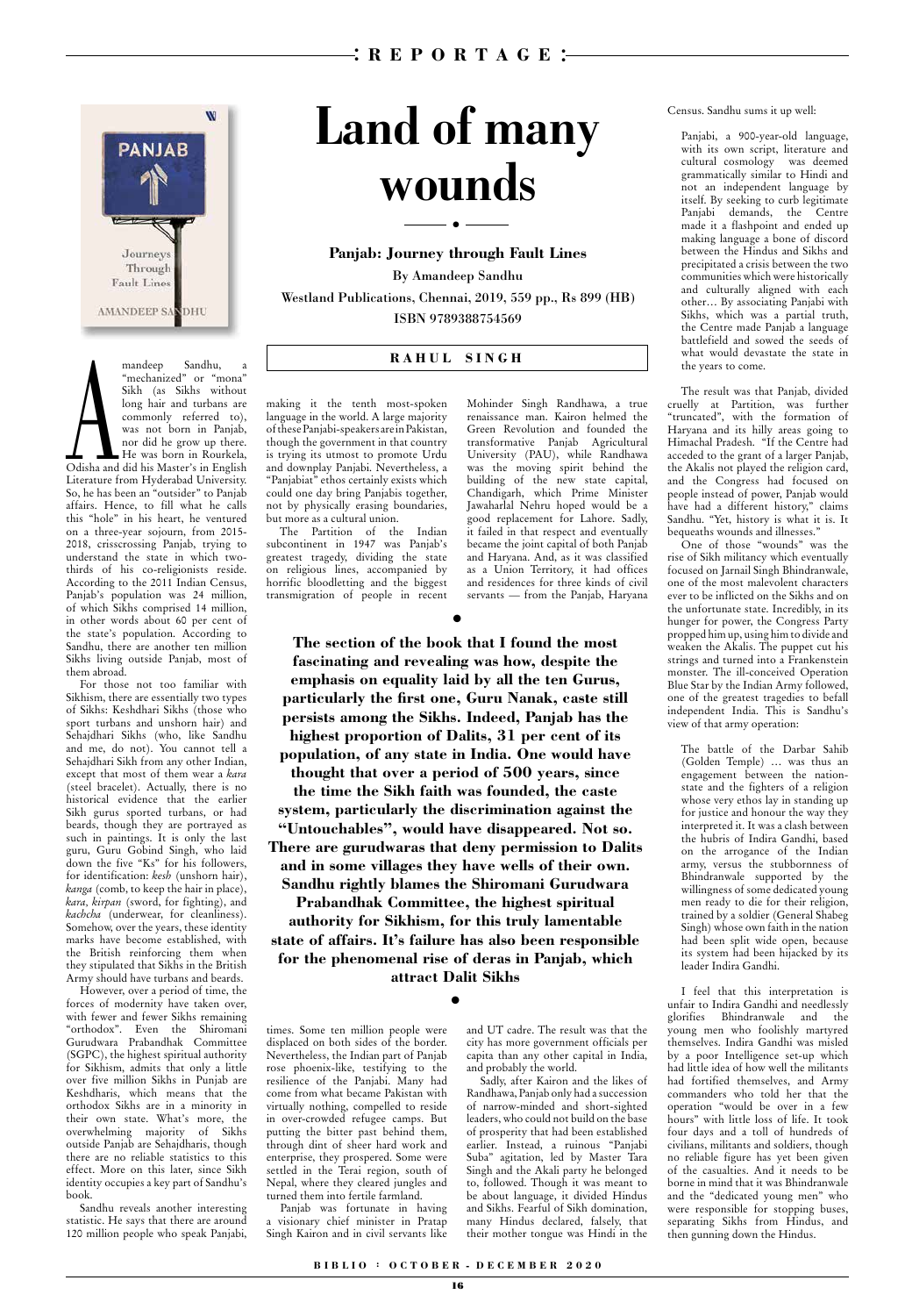## **B I B L I O : O C T O B E R - D E C E M B E R 2 0 2 0**

## **Panjab: Journey through Fault Lines**

By Amandeep Sandhu Westland Publications, Chennai, 2019, 559 pp., Rs 899 (HB) ISBN 9789388754569

# **Land of many wounds**



## mandeep Sandhu, a **RAHUL SINGH**<br>
"mechanized" or "mona"<br>
Sikh (as Sikhs without<br>
long hair and turbans are making it the tenth most-spoken Mohinder<br>
commonly referred to), language in the world. A large majority renaissanc "mechanized" or "mona" Sikh (as Sikhs without long hair and turbans are commonly referred to), was not born in Panjab, nor did he grow up there. He was born in Rourkela, Odisha and did his Master's in English Literature from Hyderabad University. So, he has been an "outsider" to Panjab affairs. Hence, to fill what he calls this "hole" in his heart, he ventured on a three-year sojourn, from 2015- 2018, crisscrossing Panjab, trying to understand the state in which twothirds of his co-religionists reside. According to the 2011 Indian Census, Panjab's population was 24 million, of which Sikhs comprised 14 million, in other words about 60 per cent of the state's population. According to Sandhu, there are another ten million Sikhs living outside Panjab, most of them abroad.

For those not too familiar with Sikhism, there are essentially two types of Sikhs: Keshdhari Sikhs (those who sport turbans and unshorn hair) and Sehajdhari Sikhs (who, like Sandhu and me, do not). You cannot tell a Sehajdhari Sikh from any other Indian, except that most of them wear a *kara* (steel bracelet). Actually, there is no historical evidence that the earlier Sikh gurus sported turbans, or had beards, though they are portrayed as such in paintings. It is only the last guru, Guru Gobind Singh, who laid down the five "Ks" for his followers, for identification: *kesh* (unshorn hair), *kanga* (comb, to keep the hair in place), *kara, kirpan* (sword, for fighting), and *kachcha* (underwear, for cleanliness). Somehow, over the years, these identity marks have become established, with the British reinforcing them when they stipulated that Sikhs in the British Army should have turbans and beards.

However, over a period of time, the forces of modernity have taken over, with fewer and fewer Sikhs remaining "orthodox". Even the Shiromani Gurudwara Prabandhak Committee (SGPC), the highest spiritual authority for Sikhism, admits that only a little over five million Sikhs in Punjab are Keshdharis, which means that the orthodox Sikhs are in a minority in their own state. What's more, the overwhelming majority of Sikhs outside Panjab are Sehajdharis, though there are no reliable statistics to this effect. More on this later, since Sikh identity occupies a key part of Sandhu's book.

Sandhu reveals another interesting statistic. He says that there are around 120 million people who speak Panjabi, Mohinder Singh Randhawa, a true

renaissance man. Kairon helmed the Green Revolution and founded the transformative Panjab Agricultural University (PAU), while Randhawa was the moving spirit behind the building of the new state capital, Chandigarh, which Prime Minister Jawaharlal Nehru hoped would be a good replacement for Lahore. Sadly, it failed in that respect and eventually became the joint capital of both Panjab and Haryana. And, as it was classified as a Union Territory, it had offices and residences for three kinds of civil servants — from the Panjab, Haryana Census. Sandhu sums it up well:

Panjabi, a 900-year-old language, with its own script, literature and cultural cosmology was deemed grammatically similar to Hindi and not an independent language by itself. By seeking to curb legitimate Panjabi demands, the Centre made it a flashpoint and ended up making language a bone of discord between the Hindus and Sikhs and precipitated a crisis between the two communities which were historically and culturally aligned with each other… By associating Panjabi with Sikhs, which was a partial truth, the Centre made Panjab a language battlefield and sowed the seeds of what would devastate the state in the years to come.

The result was that Panjab, divided cruelly at Partition, was further "truncated", with the formation of Haryana and its hilly areas going to Himachal Pradesh. "If the Centre had acceded to the grant of a larger Panjab, the Akalis not played the religion card, and the Congress had focused on people instead of power, Panjab would have had a different history," claims Sandhu. "Yet, history is what it is. It bequeaths wounds and illnesses."

One of those "wounds" was the rise of Sikh militancy which eventually focused on Jarnail Singh Bhindranwale, one of the most malevolent characters ever to be inflicted on the Sikhs and on the unfortunate state. Incredibly, in its hunger for power, the Congress Party propped him up, using him to divide and weaken the Akalis. The puppet cut his strings and turned into a Frankenstein monster. The ill-conceived Operation Blue Star by the Indian Army followed, one of the greatest tragedies to befall independent India. This is Sandhu's view of that army operation:

The battle of the Darbar Sahib (Golden Temple) … was thus an engagement between the nationstate and the fighters of a religion whose very ethos lay in standing up for justice and honour the way they interpreted it. It was a clash between the hubris of Indira Gandhi, based on the arrogance of the Indian army, versus the stubbornness of Bhindranwale supported by the willingness of some dedicated young men ready to die for their religion, trained by a soldier (General Shabeg Singh) whose own faith in the nation had been split wide open, because its system had been hijacked by its leader Indira Gandhi.

I feel that this interpretation is unfair to Indira Gandhi and needlessly glorifies Bhindranwale and the young men who foolishly martyred themselves. Indira Gandhi was misled by a poor Intelligence set-up which had little idea of how well the militants had fortified themselves, and Army commanders who told her that the operation "would be over in a few hours" with little loss of life. It took four days and a toll of hundreds of civilians, militants and soldiers, though no reliable figure has yet been given of the casualties. And it needs to be borne in mind that it was Bhindranwale and the "dedicated young men" who were responsible for stopping buses, separating Sikhs from Hindus, and then gunning down the Hindus.

making it the tenth most-spoken language in the world. A large majority of these Panjabi-speakers are in Pakistan, though the government in that country is trying its utmost to promote Urdu and downplay Panjabi. Nevertheless, a "Panjabiat" ethos certainly exists which could one day bring Panjabis together, not by physically erasing boundaries, but more as a cultural union.

The Partition of the Indian subcontinent in 1947 was Panjab's greatest tragedy, dividing the state on religious lines, accompanied by horrific bloodletting and the biggest transmigration of people in recent

●

●

times. Some ten million people were displaced on both sides of the border. Nevertheless, the Indian part of Panjab rose phoenix-like, testifying to the resilience of the Panjabi. Many had come from what became Pakistan with virtually nothing, compelled to reside in over-crowded refugee camps. But putting the bitter past behind them, through dint of sheer hard work and enterprise, they prospered. Some were settled in the Terai region, south of Nepal, where they cleared jungles and turned them into fertile farmland.

Panjab was fortunate in having a visionary chief minister in Pratap Singh Kairon and in civil servants like

and UT cadre. The result was that the city has more government officials per capita than any other capital in India, and probably the world.

Sadly, after Kairon and the likes of Randhawa, Panjab only had a succession of narrow-minded and short-sighted leaders, who could not build on the base of prosperity that had been established earlier. Instead, a ruinous "Panjabi Suba" agitation, led by Master Tara Singh and the Akali party he belonged to, followed. Though it was meant to be about language, it divided Hindus and Sikhs. Fearful of Sikh domination, many Hindus declared, falsely, that their mother tongue was Hindi in the

**The section of the book that I found the most fascinating and revealing was how, despite the emphasis on equality laid by all the ten Gurus, particularly the first one, Guru Nanak, caste still persists among the Sikhs. Indeed, Panjab has the highest proportion of Dalits, 31 per cent of its population, of any state in India. One would have** 

**thought that over a period of 500 years, since the time the Sikh faith was founded, the caste system, particularly the discrimination against the "Untouchables", would have disappeared. Not so. There are gurudwaras that deny permission to Dalits and in some villages they have wells of their own. Sandhu rightly blames the Shiromani Gurudwara Prabandhak Committee, the highest spiritual authority for Sikhism, for this truly lamentable state of affairs. It's failure has also been responsible for the phenomenal rise of deras in Panjab, which attract Dalit Sikhs**

●